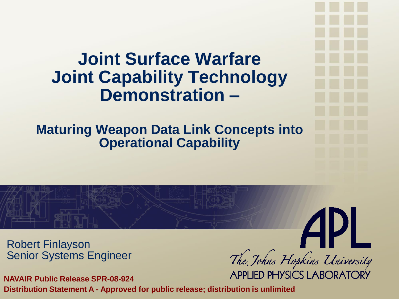#### **Joint Surface Warfare Joint Capability Technology Demonstration –**

**Maturing Weapon Data Link Concepts into Operational Capability**

**API** 

The Johns Hopkins University

Robert Finlayson Senior Systems Engineer

**APPLIED PHYSICS LABORATORY NAVAIR Public Release SPR-08-924 Distribution Statement A - Approved for public release; distribution is unlimited**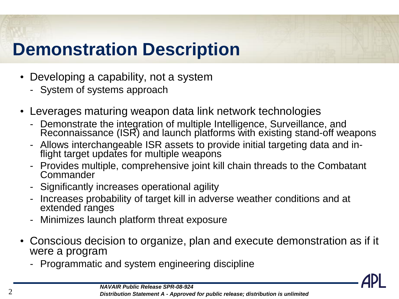## **Demonstration Description**

- Developing a capability, not a system
	- System of systems approach
- Leverages maturing weapon data link network technologies
	- Demonstrate the integration of multiple Intelligence, Surveillance, and Reconnaissance (ISR) and launch platforms with existing stand-off weapons
	- Allows interchangeable ISR assets to provide initial targeting data and inflight target updates for multiple weapons
	- Provides multiple, comprehensive joint kill chain threads to the Combatant **Commander**
	- Significantly increases operational agility
	- Increases probability of target kill in adverse weather conditions and at extended ranges
	- Minimizes launch platform threat exposure
- Conscious decision to organize, plan and execute demonstration as if it were a program
	- Programmatic and system engineering discipline

*NAVAIR Public Release SPR-08-924*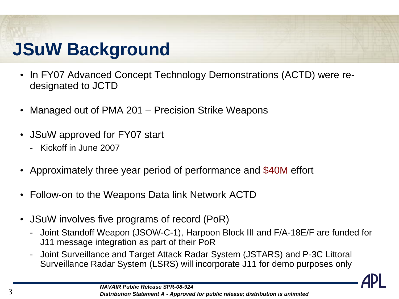## **JSuW Background**

- In FY07 Advanced Concept Technology Demonstrations (ACTD) were redesignated to JCTD
- Managed out of PMA 201 Precision Strike Weapons
- JSuW approved for FY07 start
	- Kickoff in June 2007
- Approximately three year period of performance and \$40M effort
- Follow-on to the Weapons Data link Network ACTD
- JSuW involves five programs of record (PoR)
	- Joint Standoff Weapon (JSOW-C-1), Harpoon Block III and F/A-18E/F are funded for J11 message integration as part of their PoR
	- Joint Surveillance and Target Attack Radar System (JSTARS) and P-3C Littoral Surveillance Radar System (LSRS) will incorporate J11 for demo purposes only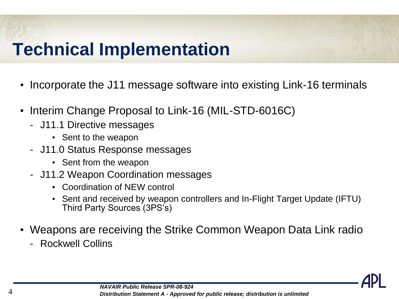## **Technical Implementation**

- Incorporate the J11 message software into existing Link-16 terminals
- Interim Change Proposal to Link-16 (MIL-STD-6016C)
	- J11.1 Directive messages
		- Sent to the weapon
	- J11.0 Status Response messages
		- Sent from the weapon
	- J11.2 Weapon Coordination messages
		- Coordination of NEW control
		- Sent and received by weapon controllers and In-Flight Target Update (IFTU) Third Party Sources (3PS's)
- Weapons are receiving the Strike Common Weapon Data Link radio
	- Rockwell Collins

*NAVAIR Public Release SPR-08-924* 4 *Distribution Statement A - Approved for public release; distribution is unlimited*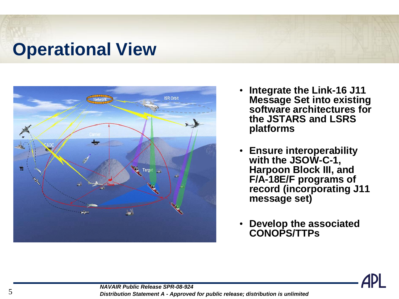#### **Operational View**



- **Integrate the Link-16 J11 Message Set into existing software architectures for the JSTARS and LSRS platforms**
- **Ensure interoperability with the JSOW-C-1, Harpoon Block III, and F/A-18E/F programs of record (incorporating J11 message set)**
- **Develop the associated CONOPS/TTPs**



*NAVAIR Public Release SPR-08-924* 5 *Distribution Statement A - Approved for public release; distribution is unlimited*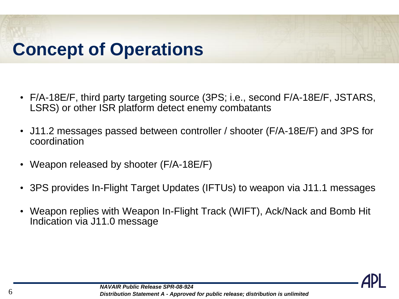## **Concept of Operations**

- F/A-18E/F, third party targeting source (3PS; i.e., second F/A-18E/F, JSTARS, LSRS) or other ISR platform detect enemy combatants
- J11.2 messages passed between controller / shooter (F/A-18E/F) and 3PS for coordination
- Weapon released by shooter (F/A-18E/F)
- 3PS provides In-Flight Target Updates (IFTUs) to weapon via J11.1 messages
- Weapon replies with Weapon In-Flight Track (WIFT), Ack/Nack and Bomb Hit Indication via J11.0 message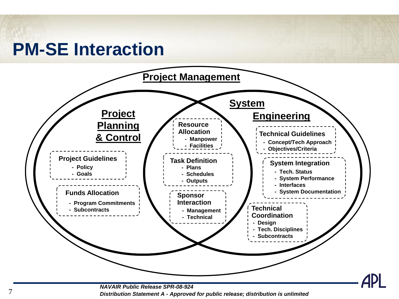#### **PM-SE Interaction**



*NAVAIR Public Release SPR-08-924* 7 *Distribution Statement A - Approved for public release; distribution is unlimited*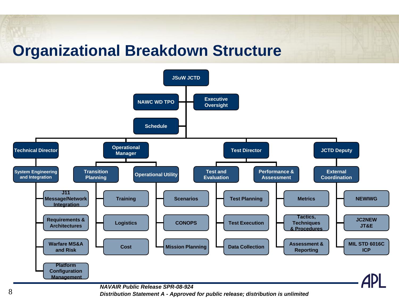#### **Organizational Breakdown Structure**



*NAVAIR Public Release SPR-08-924*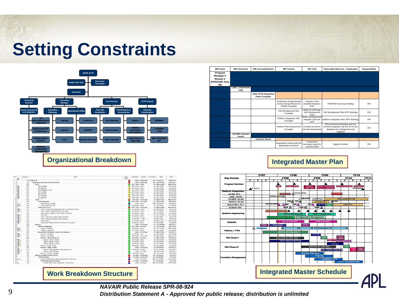### **Setting Constraints**



| <b>IMP Event</b>                                         | <b>IMP Sub-Event</b>            | <b>IMP Accomplishment</b>                             | <b>IMP Criteria</b>                                                        | <b>IMS Task</b>                                      | Deliverable Name (s) - if applicable                                                                                     | Responsibility |
|----------------------------------------------------------|---------------------------------|-------------------------------------------------------|----------------------------------------------------------------------------|------------------------------------------------------|--------------------------------------------------------------------------------------------------------------------------|----------------|
| Program<br>Manager's<br>Review 2<br>(PDR/CDR June<br>08) |                                 |                                                       |                                                                            |                                                      |                                                                                                                          |                |
|                                                          | <b>LSRS / JSOW PDR /</b><br>CDR |                                                       |                                                                            |                                                      |                                                                                                                          |                |
|                                                          |                                 | <b>LSRS JCTD Integration</b><br><b>Plans Complete</b> |                                                                            |                                                      |                                                                                                                          |                |
|                                                          |                                 |                                                       | Preliminary Design Review<br>(Critical Design Review for<br>JSOW) Complete | Conduct a Net<br>Enabled Weapons<br><b>PDR</b>       | PDR/CDR Summary Briefing                                                                                                 | <b>PM</b>      |
|                                                          |                                 |                                                       | SW Development Plan<br>Complete                                            | Build J11 Message<br>SW Development<br>Plan          | SW Development Plan (PPT Briefing)                                                                                       | <b>PM</b>      |
|                                                          |                                 |                                                       | Platform Integration Plan<br>Complete                                      | Write, Assemble and<br>integrate code into<br>OFP    | Platform Integration Plan (PPT Briefing)                                                                                 | <b>PM</b>      |
|                                                          |                                 |                                                       | Platform Risk Assessment<br>Complete                                       | Conduct an end-to-<br>end risk assessment            | Risk Assessment Briefing and risk<br>element integration into the JCTD risk<br>database for management and<br>mitigation | <b>PM</b>      |
|                                                          | <b>JSTARS Contract</b><br>Award |                                                       |                                                                            |                                                      |                                                                                                                          |                |
|                                                          |                                 | <b>Contract Award</b>                                 |                                                                            |                                                      |                                                                                                                          |                |
|                                                          |                                 |                                                       | Negotiated contract with the<br>appropriate contractor                     | Conduct the<br>necessary steps for<br>contract award | Signed Contract                                                                                                          | <b>PM</b>      |

#### **Integrated Master Plan**



| ntegrated Master Schedule |  |  |
|---------------------------|--|--|
|---------------------------|--|--|

| $\mathbf{D}$<br>ō       | Unique ID | Narre                                                          | <b>JSLMV</b><br>Stab.in | <b>Total Slack</b>      | <b>Duration</b>         | % Complete | Start             | Finish            |
|-------------------------|-----------|----------------------------------------------------------------|-------------------------|-------------------------|-------------------------|------------|-------------------|-------------------|
|                         |           | 80 JSuN JCTD                                                   |                         |                         | 0 days 929.88 days      |            | 22% Tue 6/5/07    | Wed 2/HT          |
| $\overline{a}$          | 81        | Integration, Assembly, Test, & Checkout                        |                         |                         | 0 days 848,88 days      |            | 10% Wed 9/26/07   | Wed 2/9/1         |
| $\frac{1}{2}$           | 1252      | F-A-18                                                         |                         | 665.13 days 0 days      |                         |            | 9% Mon 6/16/98    | Mon 6/16 W        |
| $4$ $\overline{14}$     | 1256      | HSE Availability                                               |                         | 665.13 days 0 days      |                         |            | 0% Mon 6/16/05    | Mon 6/160         |
| $5 - 7$                 | 1255      | <b>HSE Flight Test</b>                                         |                         | 665.13 days 0 days      |                         |            | 0% Mon 6/16/08    | Mon 6/16/0        |
| $6$ H                   | 1254      | JSJAV Integration & Test                                       |                         | 665.13 days 0 days      |                         |            | 0% Mon 6/16/08    | Mon 6/16/0        |
| $7$ $7$                 | 1260      | HSE Availability                                               |                         | 665.13 days 0 days      |                         |            | 0% Mon 6/16/05    | Mon 6/16/0        |
| 8                       | 1259      | <b>HGE Flight Test</b>                                         |                         | 665.13 days 0 days      |                         |            | 0% Mon-6/16/08    | Mon 6/16/0        |
| $9$ $\overline{18}$     | 1258      | H7E Availability                                               |                         | 665.13 days 0 days      |                         |            | 0% Mon 6/16/05    | Man 6/160         |
| 10 田                    | 1257      | <b>H7E Flight Test</b>                                         |                         | 665.13 days 0 days      |                         |            | 0% Mon 6/16/08    | Mon 6/16/0        |
| 11                      | 545       | <b>JSOW</b>                                                    |                         |                         | 314.5 days 532.38 days  |            | 0% Wed 9/26/07    | Mon 11/2 P        |
| $\overline{12}$         | $5 - 46$  | <b>JSOW Integration</b>                                        |                         | 443.38 days 252.5 days  |                         |            | 0% Wed 9/26/07    | Thu 9/18.6        |
| $13 \sqrt{L}$           | 548       | JSOV System Level PDR                                          |                         | 0 days 0 days           |                         |            | 100% Wed 9/26/07  | Wed 9/26/0        |
| 14 TH C                 | 549       | JSOV System Level CDR                                          |                         | 443.38 days 0 days      |                         |            | 0% Thu 9/18/08    | Thu 9/18/0        |
| 15                      | 547       | <b>JSOW System Test</b>                                        |                         | 235.75 days 338.25 days |                         |            | 0% Mon 6/30/88    | Mon 11/2 P        |
| 16 H L                  | 1201      | JSON - SCVOL Preproduction Flight Units (1-5) delivered to RMS |                         | 235.75 days 23 days     |                         |            | 0% Mon 6/30/08    | Thu 7/31/0        |
| 17 HH G                 | 551       | JSON - SOVIDL - Equipped MSU at AVA, / IBAR                    |                         | 261.88 days 0 days      |                         |            | 0% Thu 9/25/08    | Thu 9/25/0        |
| 18                      | 1229      | JSON - Radio Available for JCTD SONDL Road Show                |                         | 261.88 days 0 days      |                         |            | 0% Thu 9/25/08    | <b>Thu 8/25/0</b> |
| 19 TH C                 | 550       | JSOV TRR                                                       |                         | 382.25 days 0 days      |                         |            | 0% Thu 12/18/08   | Thu 12/18/0       |
| 20 田山                   | 652       | JSON - AOM-154C-1 Captive Flight Vehicle RFF                   |                         | 411.63 days 23 days     |                         |            | 0% Mon 3/2/09     | Wed 4/1.0         |
| 21 TH G                 | 553       | JSOV - ASUV Developmental Test Free Flights                    |                         | 373.63 days 111 days    |                         |            | 0% Mon 3/2/09     | Wed 8/5/0         |
| 22<br>HH C              | 554       | JSOV - OTRR                                                    |                         | 314.5 days 0 days       |                         |            | 0% Mon 11/2/09    | Mon 11/2/0        |
| 23<br>历                 | 1230      | JSOM Captive Flight Vehicle (CFV) Delivered to China Lake      |                         | 453.30 days 0 days      |                         |            | 0% Vest 0.6/00    | Wed B&O           |
| $\overline{24}$         | 555       | <b>Harpoon</b>                                                 |                         |                         | 0 days 556.25 days      |            | 0% Tue 11/18/08   | Wed 2/9/1         |
| $\overline{\mathbf{z}}$ | 554       | Harpoon - Integration                                          |                         | 287.13 days 68.5 days   |                         |            | 0% Tue 11/18/08   | Thu 2/26/0        |
| 26 田记                   | 657       | Harpoon - PDR Event                                            |                         | 329.25 days 2 days      |                         |            | 0% Tue 11/10/08   | Wed 11/19/0       |
| 27 H G                  | 558       | Harpoon - CDR Event                                            |                         | 207.13 days 3 days      |                         |            | 0% Tue 2/24/09    | Thu 2.05.0        |
| 28                      | 559       | <b>Harpoon Block III Missile Software Development</b>          |                         |                         | 0 days 413,25 days      |            | 0% Mon 6/15/09    | Wed 2/9/1         |
| 29 田山                   | 1233      | Harpoon - OFP Build 4                                          |                         | 212.63 days 1 day       |                         |            | 0% Mon 6/15/09    | Mon 6/15/0        |
| 30 TH C                 | 581       | Harpoon - Lab Testing                                          |                         |                         | 140.25 days 197.63 days |            | 0% Mon 9/25/09    | Wed 7/14/1        |
| $\overline{31}$         | 1224      | Harpoon - Missile Deliveries                                   |                         | 144.88 days 55.5 days   |                         |            | 9% Mon 9/28/99    | Fri 12/18/0       |
| 32 国记                   | 1223      | Harpoon - Missle 1 Delivery                                    |                         | 339.88 days 0 days      |                         |            | 0% Mon 9/25/09    | Man 9/28/0        |
| 33 田記                   | 1222      | Harpoon - Mosile 2 Delivery                                    |                         | 142.63 days 0 days      |                         |            | 0% Wed 9/30/09    | Wed 9/300         |
| 34 田心                   | 1221      | Harpson - Moole 3 Delivery                                     |                         | 135.30 days 0 days      |                         |            | 0% Fri 12/10/09   | Fri 12/18/0       |
| 35 TH G                 | 560       | Harppon - Ground Testing                                       |                         | 292.88 days 45 days     |                         |            | 0% Mon 9/26/09    | Thu 12/3/0        |
| $36$ $66$               | 562       | <b>Harpoon - Flight Testing</b>                                |                         |                         | 0 days 284.38 days      |            | 0% Fri 12/18/09   | Wed 29/1          |
| 37 TH C                 | 1224      | Harpoon - ITB3 Integration Texting Captive Carry               |                         | 135.38 days 149 days    |                         |            | 0% Fri 12/18/09   | Man 7/26/1        |
| 38 Ha C                 | 1226      | Harpoon - ITB4 Free Flight                                     |                         |                         | 0 days 51.13 days       |            | 0% Vest 11/24/10  | Wed 2/6/1         |
| 39 TH                   | 563       | Harpoon - Test Ship Availability                               |                         | 336.5 days 0 days       |                         |            | 0% Thu 10/1/09    | Thu 10/1/0        |
| 40                      | 82        | <b>Littoral Surveillance Radar System</b>                      |                         |                         | 482 days 349.38 days    |            | 14% Fri 10/19/07  | Fri 36.9          |
| 41                      | 83        | <b>LSRS</b> Integration                                        |                         |                         | 482 days 349.38 days    |            | 15% Fri 10/19/07  | Fri 360           |
| €2 √ €                  | 84        | Conduct LSRS Preliminary Internal Program Risk Assessment      |                         |                         | 0 days 18.75 days       |            | 100% Fri 10/19/07 | Thu 11/15/0       |
| 42                      | 85        | <b>LSRS Requirements Analysis</b>                              |                         |                         | 0.75 days 157.38 days   |            | 32% Fri 10/19/07  | Tue 638           |
| 44                      | ns.       | Develop LSRS system requirements - Draft Version               |                         |                         | 0 days 18.75 days       |            | 100% Fri 10/19/07 | Thu 11/15/0       |

#### **Work Breakdown Structure Integrated Master Schedule Integrated Master Schedule Integrated Master Schedule**

*NAVAIR Public Release SPR-08-924* 9 *Distribution Statement A - Approved for public release; distribution is unlimited*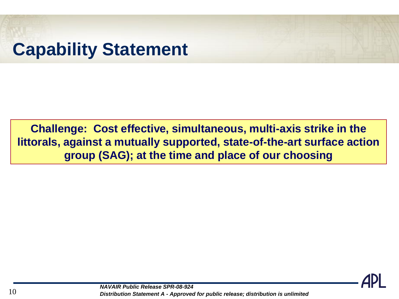## **Capability Statement**

**Challenge: Cost effective, simultaneous, multi-axis strike in the littorals, against a mutually supported, state-of-the-art surface action group (SAG); at the time and place of our choosing**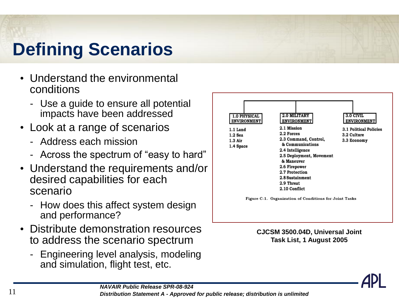# **Defining Scenarios**

- Understand the environmental conditions
	- Use a guide to ensure all potential impacts have been addressed
- Look at a range of scenarios
	- Address each mission
	- Across the spectrum of "easy to hard"
- Understand the requirements and/or desired capabilities for each scenario
	- How does this affect system design and performance?
- Distribute demonstration resources to address the scenario spectrum
	- Engineering level analysis, modeling and simulation, flight test, etc.



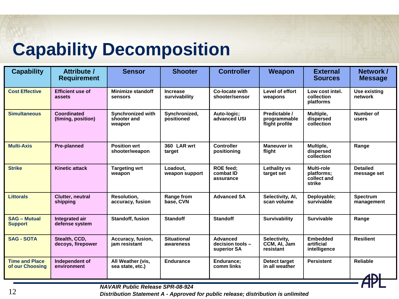### **Capability Decomposition**

| <b>Capability</b>                        | <b>Attribute /</b><br><b>Requirement</b> | <b>Sensor</b>                                     | <b>Shooter</b>                   | <b>Controller</b>                                  | Weapon                                          | <b>External</b><br><b>Sources</b>                        | Network/<br><b>Message</b>     |  |
|------------------------------------------|------------------------------------------|---------------------------------------------------|----------------------------------|----------------------------------------------------|-------------------------------------------------|----------------------------------------------------------|--------------------------------|--|
| <b>Cost Effective</b>                    | <b>Efficient use of</b><br>assets        | <b>Minimize standoff</b><br>sensors               | <b>Increase</b><br>survivability | Co-locate with<br>shooter/sensor                   | Level of effort<br>weapons                      | Low cost intel.<br>collection<br>platforms               | <b>Use existing</b><br>network |  |
| <b>Simultaneous</b>                      | <b>Coordinated</b><br>(timing, position) | <b>Synchronized with</b><br>shooter and<br>weapon | Synchronized,<br>positioned      | Auto-logic;<br>advanced USI                        | Predictable /<br>programmable<br>flight profile | Multiple,<br>dispersed<br>collection                     | Number of<br>users             |  |
| <b>Multi-Axis</b>                        | <b>Pre-planned</b>                       | <b>Position wrt</b><br>shooter/weapon             | 360 LAR wrt<br>target            | <b>Controller</b><br>positioning                   | <b>Maneuver</b> in<br>flight                    | Multiple,<br>dispersed<br>collection                     | Range                          |  |
| <b>Strike</b>                            | <b>Kinetic attack</b>                    | <b>Targeting wrt</b><br>weapon                    | Loadout.<br>weapon support       | <b>ROE</b> feed:<br>combat ID<br>assurance         | <b>Lethality vs</b><br>target set               | <b>Multi-role</b><br>platforms;<br>collect and<br>strike | <b>Detailed</b><br>message set |  |
| <b>Littorals</b>                         | Clutter, neutral<br>shipping             | Resolution,<br>accuracy, fusion                   | Range from<br>base, CVN          | <b>Advanced SA</b>                                 | Selectivity, Al,<br>scan volume                 | Deployable;<br>survivable                                | <b>Spectrum</b><br>management  |  |
| <b>SAG - Mutual</b><br><b>Support</b>    | Integrated air<br>defense system         | Standoff, fusion                                  | <b>Standoff</b>                  | <b>Standoff</b>                                    | <b>Survivability</b>                            | <b>Survivable</b>                                        | Range                          |  |
| <b>SAG - SOTA</b>                        | Stealth, CCD,<br>decoys, firepower       | Accuracy, fusion,<br>jam resistant                | <b>Situational</b><br>awareness  | <b>Advanced</b><br>decision tools -<br>superior SA | Selectivity,<br>CCM, AI, Jam<br>resistant       | <b>Embedded</b><br>artificial<br>intelligence            | <b>Resilient</b>               |  |
| <b>Time and Place</b><br>of our Choosing | Independent of<br>environment            | All Weather (vis,<br>sea state, etc.)             | <b>Endurance</b>                 | Endurance;<br>comm links                           | Detect target<br>in all weather                 | <b>Persistent</b>                                        | <b>Reliable</b><br><b>ANI</b>  |  |
| NAVAIR Public Release SPR-08-024         |                                          |                                                   |                                  |                                                    |                                                 |                                                          |                                |  |

*NAVAIR Public Release SPR-08-924*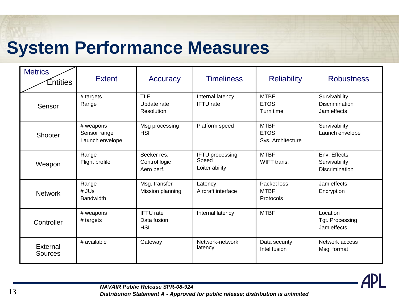#### **System Performance Measures**

| <b>Metrics</b><br>Entities | <b>Extent</b>                                | Accuracy                                      | <b>Timeliness</b>                                 | <b>Reliability</b>                              | <b>Robustness</b>                                      |
|----------------------------|----------------------------------------------|-----------------------------------------------|---------------------------------------------------|-------------------------------------------------|--------------------------------------------------------|
| Sensor                     | # targets<br>Range                           | <b>TLE</b><br>Update rate<br>Resolution       | Internal latency<br><b>IFTU</b> rate              | <b>MTBF</b><br><b>ETOS</b><br>Turn time         | Survivability<br><b>Discrimination</b><br>Jam effects  |
| Shooter                    | # weapons<br>Sensor range<br>Launch envelope | Msg processing<br><b>HSI</b>                  | Platform speed                                    | <b>MTBF</b><br><b>ETOS</b><br>Sys. Architecture | Survivability<br>Launch envelope                       |
| Weapon                     | Range<br>Flight profile                      | Seeker res.<br>Control logic<br>Aero perf.    | <b>IFTU</b> processing<br>Speed<br>Loiter ability | <b>MTBF</b><br>WIFT trans.                      | Env. Effects<br>Survivability<br><b>Discrimination</b> |
| <b>Network</b>             | Range<br># JUs<br><b>Bandwidth</b>           | Msg. transfer<br>Mission planning             | Latency<br>Aircraft interface                     | Packet loss<br><b>MTBF</b><br>Protocols         | Jam effects<br>Encryption                              |
| Controller                 | # weapons<br># targets                       | <b>IFTU</b> rate<br>Data fusion<br><b>HSI</b> | Internal latency                                  | <b>MTBF</b>                                     | Location<br>Tgt. Processing<br>Jam effects             |
| External<br>Sources        | # available                                  | Gateway                                       | Network-network<br>latency                        | Data security<br>Intel fusion                   | Network access<br>Msg. format                          |



*NAVAIR Public Release SPR-08-924* 13 *Distribution Statement A - Approved for public release; distribution is unlimited*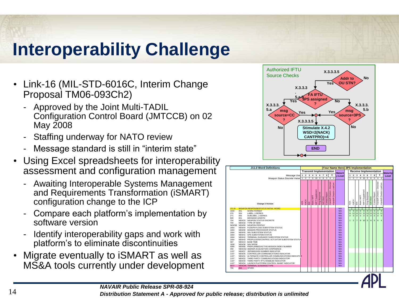## **Interoperability Challenge**

- Link-16 (MIL-STD-6016C, Interim Change Proposal TM06-093Ch2)
	- Approved by the Joint Multi-TADIL Configuration Control Board (JMTCCB) on 02 May 2008
	- Staffing underway for NATO review
	- Message standard is still in "interim state"
- Using Excel spreadsheets for interoperability assessment and configuration management
	- Awaiting Interoperable Systems Management and Requirements Transformation (iSMART) configuration change to the ICP
	- Compare each platform's implementation by software version
	- Identify interoperability gaps and work with platform's to eliminate discontinuities
- Migrate eventually to iSMART as well as





*NAVAIR Public Release SPR-08-924*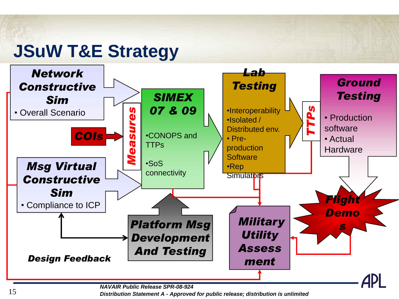## **JSuW T&E Strategy**



*NAVAIR Public Release SPR-08-924*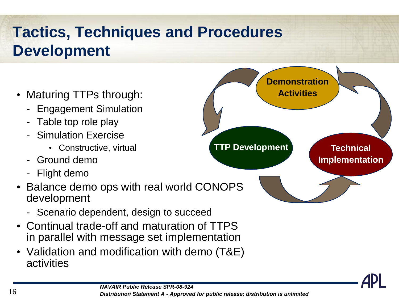### **Tactics, Techniques and Procedures Development**

- Maturing TTPs through:
	- Engagement Simulation
	- Table top role play
	- Simulation Exercise
		- Constructive, virtual
	- Ground demo
	- Flight demo
- Balance demo ops with real world CONOPS development
	- Scenario dependent, design to succeed
- Continual trade-off and maturation of TTPS in parallel with message set implementation
- Validation and modification with demo (T&E) activities



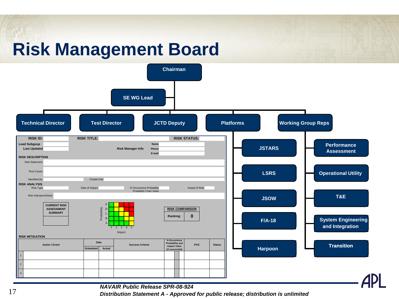## **Risk Management Board**



#### *NAVAIR Public Release SPR-08-924*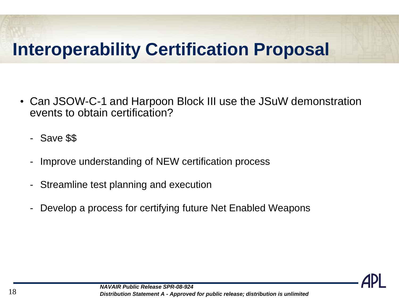## **Interoperability Certification Proposal**

- Can JSOW-C-1 and Harpoon Block III use the JSuW demonstration events to obtain certification?
	- Save \$\$
	- Improve understanding of NEW certification process
	- Streamline test planning and execution
	- Develop a process for certifying future Net Enabled Weapons

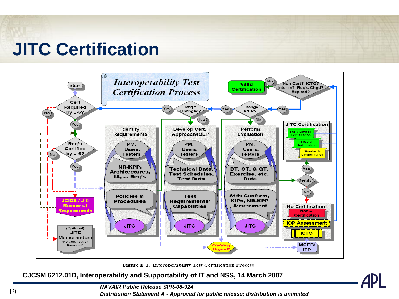### **JITC Certification**



Figure E-1. Interoperability Test Certification Process

**CJCSM 6212.01D, Interoperability and Supportability of IT and NSS, 14 March 2007**

*NAVAIR Public Release SPR-08-924*